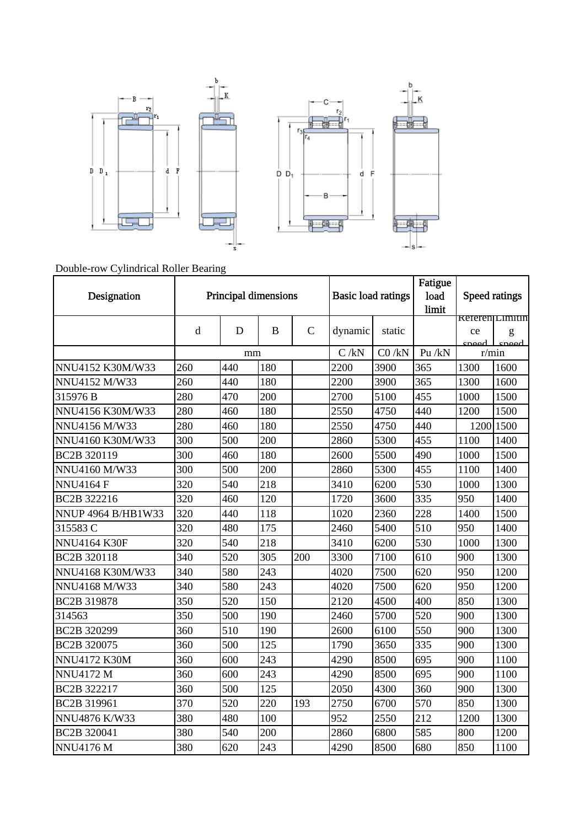

Double-row Cylindrical Roller Bearing

| Designation         | <b>Principal dimensions</b> |     |     |             | <b>Basic load ratings</b> |          | Fatigue<br>load<br>limit | Speed ratings         |           |
|---------------------|-----------------------------|-----|-----|-------------|---------------------------|----------|--------------------------|-----------------------|-----------|
|                     | <sub>d</sub>                | D   | B   | $\mathbf C$ | dynamic                   | static   |                          | Referen Limitin<br>ce | g<br>ഛി   |
|                     |                             | mm  |     |             | C/kN                      | $CO$ /kN | Pu/kN                    | r/min                 |           |
| NNU4152 K30M/W33    | 260                         | 440 | 180 |             | 2200                      | 3900     | 365                      | 1300                  | 1600      |
| NNU4152 M/W33       | 260                         | 440 | 180 |             | 2200                      | 3900     | 365                      | 1300                  | 1600      |
| 315976B             | 280                         | 470 | 200 |             | 2700                      | 5100     | 455                      | 1000                  | 1500      |
| NNU4156 K30M/W33    | 280                         | 460 | 180 |             | 2550                      | 4750     | 440                      | 1200                  | 1500      |
| NNU4156 M/W33       | 280                         | 460 | 180 |             | 2550                      | 4750     | 440                      |                       | 1200 1500 |
| NNU4160 K30M/W33    | 300                         | 500 | 200 |             | 2860                      | 5300     | 455                      | 1100                  | 1400      |
| BC2B 320119         | 300                         | 460 | 180 |             | 2600                      | 5500     | 490                      | 1000                  | 1500      |
| NNU4160 M/W33       | 300                         | 500 | 200 |             | 2860                      | 5300     | 455                      | 1100                  | 1400      |
| <b>NNU4164 F</b>    | 320                         | 540 | 218 |             | 3410                      | 6200     | 530                      | 1000                  | 1300      |
| BC2B 322216         | 320                         | 460 | 120 |             | 1720                      | 3600     | 335                      | 950                   | 1400      |
| NNUP 4964 B/HB1W33  | 320                         | 440 | 118 |             | 1020                      | 2360     | 228                      | 1400                  | 1500      |
| 315583 C            | 320                         | 480 | 175 |             | 2460                      | 5400     | 510                      | 950                   | 1400      |
| <b>NNU4164 K30F</b> | 320                         | 540 | 218 |             | 3410                      | 6200     | 530                      | 1000                  | 1300      |
| BC2B 320118         | 340                         | 520 | 305 | 200         | 3300                      | 7100     | 610                      | 900                   | 1300      |
| NNU4168 K30M/W33    | 340                         | 580 | 243 |             | 4020                      | 7500     | 620                      | 950                   | 1200      |
| NNU4168 M/W33       | 340                         | 580 | 243 |             | 4020                      | 7500     | 620                      | 950                   | 1200      |
| BC2B 319878         | 350                         | 520 | 150 |             | 2120                      | 4500     | 400                      | 850                   | 1300      |
| 314563              | 350                         | 500 | 190 |             | 2460                      | 5700     | 520                      | 900                   | 1300      |
| BC2B 320299         | 360                         | 510 | 190 |             | 2600                      | 6100     | 550                      | 900                   | 1300      |
| BC2B 320075         | 360                         | 500 | 125 |             | 1790                      | 3650     | 335                      | 900                   | 1300      |
| <b>NNU4172 K30M</b> | 360                         | 600 | 243 |             | 4290                      | 8500     | 695                      | 900                   | 1100      |
| <b>NNU4172 M</b>    | 360                         | 600 | 243 |             | 4290                      | 8500     | 695                      | 900                   | 1100      |
| BC2B 322217         | 360                         | 500 | 125 |             | 2050                      | 4300     | 360                      | 900                   | 1300      |
| BC2B 319961         | 370                         | 520 | 220 | 193         | 2750                      | 6700     | 570                      | 850                   | 1300      |
| NNU4876 K/W33       | 380                         | 480 | 100 |             | 952                       | 2550     | 212                      | 1200                  | 1300      |
| BC2B 320041         | 380                         | 540 | 200 |             | 2860                      | 6800     | 585                      | 800                   | 1200      |
| <b>NNU4176 M</b>    | 380                         | 620 | 243 |             | 4290                      | 8500     | 680                      | 850                   | 1100      |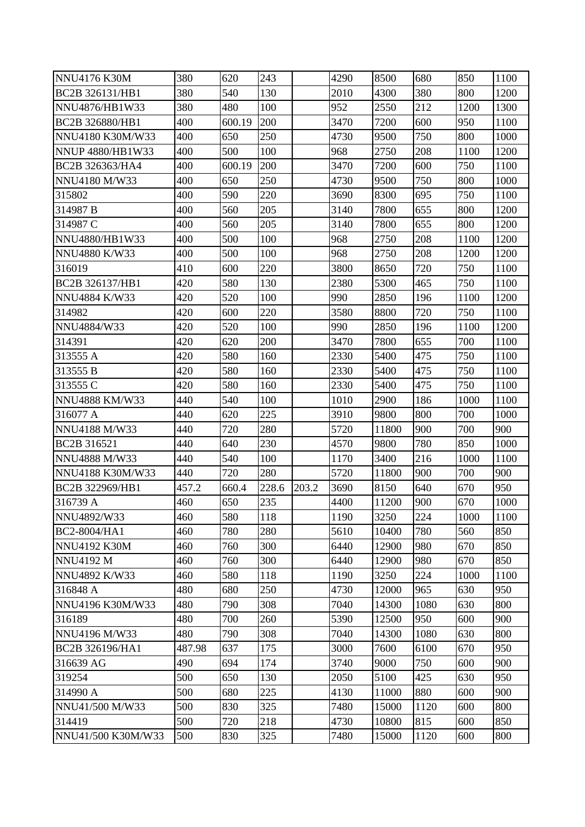| <b>NNU4176 K30M</b>      | 380    | 620    | 243   |       | 4290 | 8500  | 680  | 850  | 1100 |
|--------------------------|--------|--------|-------|-------|------|-------|------|------|------|
| BC2B 326131/HB1          | 380    | 540    | 130   |       | 2010 | 4300  | 380  | 800  | 1200 |
| NNU4876/HB1W33           | 380    | 480    | 100   |       | 952  | 2550  | 212  | 1200 | 1300 |
| BC2B 326880/HB1          | 400    | 600.19 | 200   |       | 3470 | 7200  | 600  | 950  | 1100 |
| NNU4180 K30M/W33         | 400    | 650    | 250   |       | 4730 | 9500  | 750  | 800  | 1000 |
| <b>NNUP 4880/HB1W33</b>  | 400    | 500    | 100   |       | 968  | 2750  | 208  | 1100 | 1200 |
| BC2B 326363/HA4          | 400    | 600.19 | 200   |       | 3470 | 7200  | 600  | 750  | 1100 |
| NNU4180 M/W33            | 400    | 650    | 250   |       | 4730 | 9500  | 750  | 800  | 1000 |
| 315802                   | 400    | 590    | 220   |       | 3690 | 8300  | 695  | 750  | 1100 |
| 314987 B                 | 400    | 560    | 205   |       | 3140 | 7800  | 655  | 800  | 1200 |
| 314987 C                 | 400    | 560    | 205   |       | 3140 | 7800  | 655  | 800  | 1200 |
| NNU4880/HB1W33           | 400    | 500    | 100   |       | 968  | 2750  | 208  | 1100 | 1200 |
| <b>NNU4880 K/W33</b>     | 400    | 500    | 100   |       | 968  | 2750  | 208  | 1200 | 1200 |
| 316019                   | 410    | 600    | 220   |       | 3800 | 8650  | 720  | 750  | 1100 |
| BC2B 326137/HB1          | 420    | 580    | 130   |       | 2380 | 5300  | 465  | 750  | 1100 |
| NNU4884 K/W33            | 420    | 520    | 100   |       | 990  | 2850  | 196  | 1100 | 1200 |
| 314982                   | 420    | 600    | 220   |       | 3580 | 8800  | 720  | 750  | 1100 |
| NNU4884/W33              | 420    | 520    | 100   |       | 990  | 2850  | 196  | 1100 | 1200 |
| 314391                   | 420    | 620    | 200   |       | 3470 | 7800  | 655  | 700  | 1100 |
| 313555 A                 | 420    | 580    | 160   |       | 2330 | 5400  | 475  | 750  | 1100 |
| 313555B                  | 420    | 580    | 160   |       | 2330 | 5400  | 475  | 750  | 1100 |
| 313555 C                 | 420    | 580    | 160   |       | 2330 | 5400  | 475  | 750  | 1100 |
| <b>NNU4888 KM/W33</b>    | 440    | 540    | 100   |       | 1010 | 2900  | 186  | 1000 | 1100 |
| 316077 A                 | 440    | 620    | 225   |       | 3910 | 9800  | 800  | 700  | 1000 |
| NNU4188 M/W33            | 440    | 720    | 280   |       | 5720 | 11800 | 900  | 700  | 900  |
| BC <sub>2</sub> B 316521 | 440    | 640    | 230   |       | 4570 | 9800  | 780  | 850  | 1000 |
| NNU4888 M/W33            | 440    | 540    | 100   |       | 1170 | 3400  | 216  | 1000 | 1100 |
| NNU4188 K30M/W33         | 440    | 720    | 280   |       | 5720 | 11800 | 900  | 700  | 900  |
| BC2B 322969/HB1          | 457.2  | 660.4  | 228.6 | 203.2 | 3690 | 8150  | 640  | 670  | 950  |
| 316739 A                 | 460    | 650    | 235   |       | 4400 | 11200 | 900  | 670  | 1000 |
| NNU4892/W33              | 460    | 580    | 118   |       | 1190 | 3250  | 224  | 1000 | 1100 |
| BC2-8004/HA1             | 460    | 780    | 280   |       | 5610 | 10400 | 780  | 560  | 850  |
| <b>NNU4192 K30M</b>      | 460    | 760    | 300   |       | 6440 | 12900 | 980  | 670  | 850  |
| <b>NNU4192 M</b>         | 460    | 760    | 300   |       | 6440 | 12900 | 980  | 670  | 850  |
| NNU4892 K/W33            | 460    | 580    | 118   |       | 1190 | 3250  | 224  | 1000 | 1100 |
| 316848 A                 | 480    | 680    | 250   |       | 4730 | 12000 | 965  | 630  | 950  |
| NNU4196 K30M/W33         | 480    | 790    | 308   |       | 7040 | 14300 | 1080 | 630  | 800  |
| 316189                   | 480    | 700    | 260   |       | 5390 | 12500 | 950  | 600  | 900  |
| NNU4196 M/W33            | 480    | 790    | 308   |       | 7040 | 14300 | 1080 | 630  | 800  |
| BC2B 326196/HA1          | 487.98 | 637    | 175   |       | 3000 | 7600  | 6100 | 670  | 950  |
| 316639 AG                | 490    | 694    | 174   |       | 3740 | 9000  | 750  | 600  | 900  |
| 319254                   | 500    | 650    | 130   |       | 2050 | 5100  | 425  | 630  | 950  |
| 314990 A                 | 500    | 680    | 225   |       | 4130 | 11000 | 880  | 600  | 900  |
| NNU41/500 M/W33          | 500    | 830    | 325   |       | 7480 | 15000 | 1120 | 600  | 800  |
| 314419                   | 500    | 720    | 218   |       | 4730 | 10800 | 815  | 600  | 850  |
| NNU41/500 K30M/W33       | 500    | 830    | 325   |       | 7480 | 15000 | 1120 | 600  | 800  |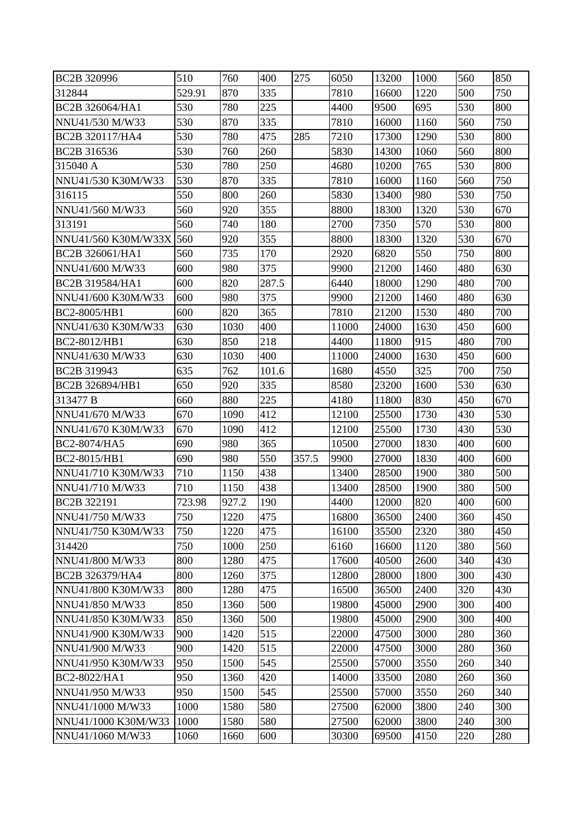| BC2B 320996         | 510    | 760   | 400   | 275   | 6050  | 13200 | 1000 | 560 | 850 |
|---------------------|--------|-------|-------|-------|-------|-------|------|-----|-----|
| 312844              | 529.91 | 870   | 335   |       | 7810  | 16600 | 1220 | 500 | 750 |
| BC2B 326064/HA1     | 530    | 780   | 225   |       | 4400  | 9500  | 695  | 530 | 800 |
| NNU41/530 M/W33     | 530    | 870   | 335   |       | 7810  | 16000 | 1160 | 560 | 750 |
| BC2B 320117/HA4     | 530    | 780   | 475   | 285   | 7210  | 17300 | 1290 | 530 | 800 |
| BC2B 316536         | 530    | 760   | 260   |       | 5830  | 14300 | 1060 | 560 | 800 |
| 315040 A            | 530    | 780   | 250   |       | 4680  | 10200 | 765  | 530 | 800 |
| NNU41/530 K30M/W33  | 530    | 870   | 335   |       | 7810  | 16000 | 1160 | 560 | 750 |
| 316115              | 550    | 800   | 260   |       | 5830  | 13400 | 980  | 530 | 750 |
| NNU41/560 M/W33     | 560    | 920   | 355   |       | 8800  | 18300 | 1320 | 530 | 670 |
| 313191              | 560    | 740   | 180   |       | 2700  | 7350  | 570  | 530 | 800 |
| NNU41/560 K30M/W33X | 560    | 920   | 355   |       | 8800  | 18300 | 1320 | 530 | 670 |
| BC2B 326061/HA1     | 560    | 735   | 170   |       | 2920  | 6820  | 550  | 750 | 800 |
| NNU41/600 M/W33     | 600    | 980   | 375   |       | 9900  | 21200 | 1460 | 480 | 630 |
| BC2B 319584/HA1     | 600    | 820   | 287.5 |       | 6440  | 18000 | 1290 | 480 | 700 |
| NNU41/600 K30M/W33  | 600    | 980   | 375   |       | 9900  | 21200 | 1460 | 480 | 630 |
| BC2-8005/HB1        | 600    | 820   | 365   |       | 7810  | 21200 | 1530 | 480 | 700 |
| NNU41/630 K30M/W33  | 630    | 1030  | 400   |       | 11000 | 24000 | 1630 | 450 | 600 |
| BC2-8012/HB1        | 630    | 850   | 218   |       | 4400  | 11800 | 915  | 480 | 700 |
| NNU41/630 M/W33     | 630    | 1030  | 400   |       | 11000 | 24000 | 1630 | 450 | 600 |
| BC2B 319943         | 635    | 762   | 101.6 |       | 1680  | 4550  | 325  | 700 | 750 |
| BC2B 326894/HB1     | 650    | 920   | 335   |       | 8580  | 23200 | 1600 | 530 | 630 |
| 313477 B            | 660    | 880   | 225   |       | 4180  | 11800 | 830  | 450 | 670 |
| NNU41/670 M/W33     | 670    | 1090  | 412   |       | 12100 | 25500 | 1730 | 430 | 530 |
| NNU41/670 K30M/W33  | 670    | 1090  | 412   |       | 12100 | 25500 | 1730 | 430 | 530 |
| BC2-8074/HA5        | 690    | 980   | 365   |       | 10500 | 27000 | 1830 | 400 | 600 |
| BC2-8015/HB1        | 690    | 980   | 550   | 357.5 | 9900  | 27000 | 1830 | 400 | 600 |
| NNU41/710 K30M/W33  | 710    | 1150  | 438   |       | 13400 | 28500 | 1900 | 380 | 500 |
| NNU41/710 M/W33     | 710    | 1150  | 438   |       | 13400 | 28500 | 1900 | 380 | 500 |
| BC2B 322191         | 723.98 | 927.2 | 190   |       | 4400  | 12000 | 820  | 400 | 600 |
| NNU41/750 M/W33     | 750    | 1220  | 475   |       | 16800 | 36500 | 2400 | 360 | 450 |
| NNU41/750 K30M/W33  | 750    | 1220  | 475   |       | 16100 | 35500 | 2320 | 380 | 450 |
| 314420              | 750    | 1000  | 250   |       | 6160  | 16600 | 1120 | 380 | 560 |
| NNU41/800 M/W33     | 800    | 1280  | 475   |       | 17600 | 40500 | 2600 | 340 | 430 |
| BC2B 326379/HA4     | 800    | 1260  | 375   |       | 12800 | 28000 | 1800 | 300 | 430 |
| NNU41/800 K30M/W33  | 800    | 1280  | 475   |       | 16500 | 36500 | 2400 | 320 | 430 |
| NNU41/850 M/W33     | 850    | 1360  | 500   |       | 19800 | 45000 | 2900 | 300 | 400 |
| NNU41/850 K30M/W33  | 850    | 1360  | 500   |       | 19800 | 45000 | 2900 | 300 | 400 |
| NNU41/900 K30M/W33  | 900    | 1420  | 515   |       | 22000 | 47500 | 3000 | 280 | 360 |
| NNU41/900 M/W33     | 900    | 1420  | 515   |       | 22000 | 47500 | 3000 | 280 | 360 |
| NNU41/950 K30M/W33  | 950    | 1500  | 545   |       | 25500 | 57000 | 3550 | 260 | 340 |
| BC2-8022/HA1        | 950    | 1360  | 420   |       | 14000 | 33500 | 2080 | 260 | 360 |
| NNU41/950 M/W33     | 950    | 1500  | 545   |       | 25500 | 57000 | 3550 | 260 | 340 |
| NNU41/1000 M/W33    | 1000   | 1580  | 580   |       | 27500 | 62000 | 3800 | 240 | 300 |
| NNU41/1000 K30M/W33 | 1000   | 1580  | 580   |       | 27500 | 62000 | 3800 | 240 | 300 |
| NNU41/1060 M/W33    | 1060   | 1660  | 600   |       | 30300 | 69500 | 4150 | 220 | 280 |